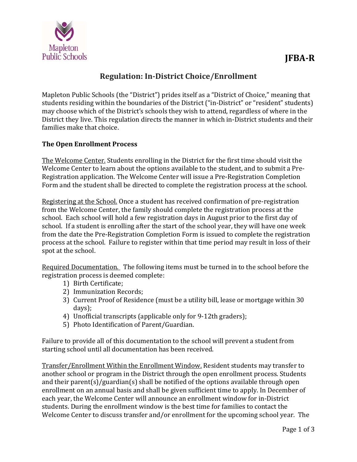

# **Regulation: In‐District Choice/Enrollment**

Mapleton Public Schools (the "District") prides itself as a "District of Choice," meaning that students residing within the boundaries of the District ("in-District" or "resident" students) may choose which of the District's schools they wish to attend, regardless of where in the District they live. This regulation directs the manner in which in-District students and their families make that choice.

## **The Open Enrollment Process**

The Welcome Center. Students enrolling in the District for the first time should visit the Welcome Center to learn about the options available to the student, and to submit a Pre-Registration application. The Welcome Center will issue a Pre-Registration Completion Form and the student shall be directed to complete the registration process at the school.

Registering at the School. Once a student has received confirmation of pre-registration from the Welcome Center, the family should complete the registration process at the school. Each school will hold a few registration days in August prior to the first day of school. If a student is enrolling after the start of the school year, they will have one week from the date the Pre-Registration Completion Form is issued to complete the registration process at the school. Failure to register within that time period may result in loss of their spot at the school.

Required Documentation. The following items must be turned in to the school before the registration process is deemed complete:

- 1) Birth Certificate;
- 2) Immunization Records;
- 3) Current Proof of Residence (must be a utility bill, lease or mortgage within 30 days);
- 4) Unofficial transcripts (applicable only for 9-12th graders);
- 5) Photo Identification of Parent/Guardian.

Failure to provide all of this documentation to the school will prevent a student from starting school until all documentation has been received.

Transfer/Enrollment Within the Enrollment Window. Resident students may transfer to another school or program in the District through the open enrollment process. Students and their parent(s)/guardian(s) shall be notified of the options available through open enrollment on an annual basis and shall be given sufficient time to apply. In December of each year, the Welcome Center will announce an enrollment window for in-District students. During the enrollment window is the best time for families to contact the Welcome Center to discuss transfer and/or enrollment for the upcoming school year. The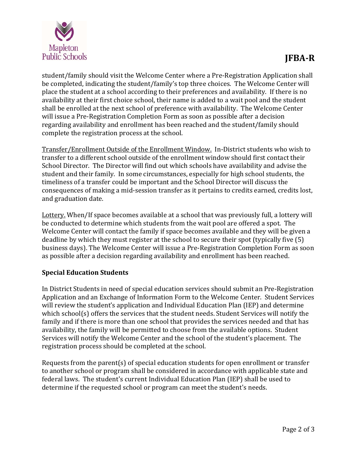

student/family should visit the Welcome Center where a Pre-Registration Application shall be completed, indicating the student/family's top three choices. The Welcome Center will place the student at a school according to their preferences and availability. If there is no availability at their first choice school, their name is added to a wait pool and the student shall be enrolled at the next school of preference with availability. The Welcome Center will issue a Pre-Registration Completion Form as soon as possible after a decision regarding availability and enrollment has been reached and the student/family should complete the registration process at the school.

Transfer/Enrollment Outside of the Enrollment Window. In-District students who wish to transfer to a different school outside of the enrollment window should first contact their School Director. The Director will find out which schools have availability and advise the student and their family. In some circumstances, especially for high school students, the timeliness of a transfer could be important and the School Director will discuss the consequences of making a mid-session transfer as it pertains to credits earned, credits lost, and graduation date.

Lottery. When/If space becomes available at a school that was previously full, a lottery will be conducted to determine which students from the wait pool are offered a spot. The Welcome Center will contact the family if space becomes available and they will be given a deadline by which they must register at the school to secure their spot (typically five  $(5)$ ) business days). The Welcome Center will issue a Pre-Registration Completion Form as soon as possible after a decision regarding availability and enrollment has been reached.

## **Special Education Students**

In District Students in need of special education services should submit an Pre-Registration Application and an Exchange of Information Form to the Welcome Center. Student Services will review the student's application and Individual Education Plan (IEP) and determine which school(s) offers the services that the student needs. Student Services will notify the family and if there is more than one school that provides the services needed and that has availability, the family will be permitted to choose from the available options. Student Services will notify the Welcome Center and the school of the student's placement. The registration process should be completed at the school.

Requests from the parent(s) of special education students for open enrollment or transfer to another school or program shall be considered in accordance with applicable state and federal laws. The student's current Individual Education Plan (IEP) shall be used to determine if the requested school or program can meet the student's needs.